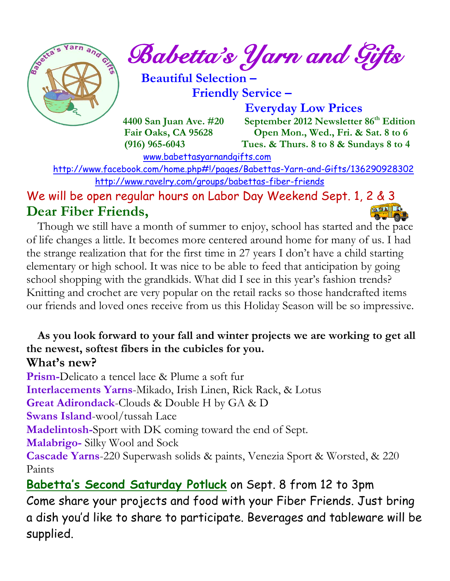

*Babetta's Yarn and Gifts* 

 **Beautiful Selection – Friendly Service –**

 **Everyday Low Prices**

 **4400 San Juan Ave. #20** September 2012 Newsletter 86<sup>th</sup> Edition  **Fair Oaks, CA 95628 Open Mon., Wed., Fri. & Sat. 8 to 6 (916) 965-6043 Tues. & Thurs. 8 to 8 & Sundays 8 to 4** 

[www.babettasyarnandgifts.com](http://www.babettasyarnandgifts.com/)

 <http://www.facebook.com/home.php#!/pages/Babettas-Yarn-and-Gifts/136290928302> <http://www.ravelry.com/groups/babettas-fiber-friends>

We will be open regular hours on Labor Day Weekend Sept. 1, 2 & 3 **Dear Fiber Friends,**  临回人儿工

 Though we still have a month of summer to enjoy, school has started and the pace of life changes a little. It becomes more centered around home for many of us. I had the strange realization that for the first time in 27 years I don't have a child starting elementary or high school. It was nice to be able to feed that anticipation by going school shopping with the grandkids. What did I see in this year's fashion trends? Knitting and crochet are very popular on the retail racks so those handcrafted items our friends and loved ones receive from us this Holiday Season will be so impressive.

#### **As you look forward to your fall and winter projects we are working to get all the newest, softest fibers in the cubicles for you. What's new?**

**Prism-**Delicato a tencel lace & Plume a soft fur

**Interlacements Yarns**-Mikado, Irish Linen, Rick Rack, & Lotus

**Great Adirondack**-Clouds & Double H by GA & D

**Swans Island**-wool/tussah Lace

**Madelintosh-**Sport with DK coming toward the end of Sept.

**Malabrigo-** Silky Wool and Sock

**Cascade Yarns**-220 Superwash solids & paints, Venezia Sport & Worsted, & 220 Paints

**Babetta's Second Saturday Potluck** on Sept. 8 from 12 to 3pm Come share your projects and food with your Fiber Friends. Just bring a dish you'd like to share to participate. Beverages and tableware will be supplied.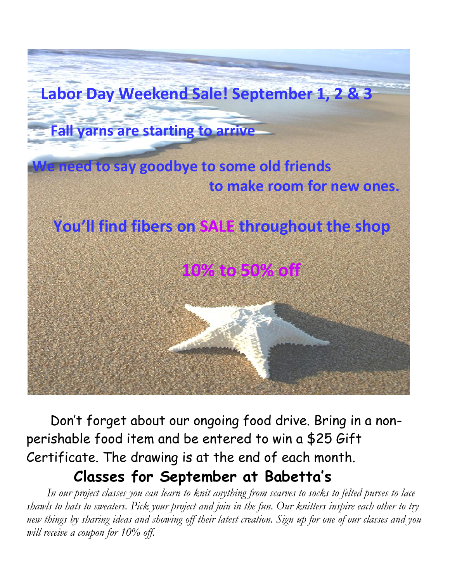

 Don't forget about our ongoing food drive. Bring in a nonperishable food item and be entered to win a \$25 Gift Certificate. The drawing is at the end of each month.

### **Classes for September at Babetta's**

 *In our project classes you can learn to knit anything from scarves to socks to felted purses to lace shawls to hats to sweaters. Pick your project and join in the fun. Our knitters inspire each other to try new things by sharing ideas and showing off their latest creation. Sign up for one of our classes and you will receive a coupon for 10% off.*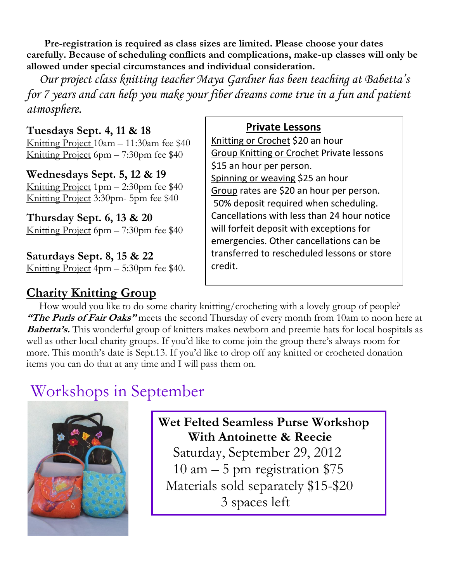**Pre-registration is required as class sizes are limited. Please choose your dates carefully. Because of scheduling conflicts and complications, make-up classes will only be allowed under special circumstances and individual consideration.**

*Our project class knitting teacher Maya Gardner has been teaching at Babetta's for 7 years and can help you make your fiber dreams come true in a fun and patient atmosphere.*

#### **Tuesdays Sept. 4, 11 & 18**

Knitting Project 10am – 11:30am fee \$40 Knitting Project 6pm – 7:30pm fee \$40

#### **Wednesdays Sept. 5, 12 & 19**

Knitting Project 1pm – 2:30pm fee \$40 Knitting Project 3:30pm- 5pm fee \$40

**Thursday Sept. 6, 13 & 20** Knitting Project 6pm – 7:30pm fee \$40

**Saturdays Sept. 8, 15 & 22** Knitting Project 4pm – 5:30pm fee \$40.

#### **Charity Knitting Group**

#### **Private Lessons**

Knitting or Crochet \$20 an hour Group Knitting or Crochet Private lessons \$15 an hour per person. Spinning or weaving \$25 an hour Group rates are \$20 an hour per person. 50% deposit required when scheduling. Cancellations with less than 24 hour notice will forfeit deposit with exceptions for emergencies. Other cancellations can be transferred to rescheduled lessons or store credit.

 How would you like to do some charity knitting/crocheting with a lovely group of people? **"The Purls of Fair Oaks"** meets the second Thursday of every month from 10am to noon here at **Babetta's.** This wonderful group of knitters makes newborn and preemie hats for local hospitals as well as other local charity groups. If you'd like to come join the group there's always room for more. This month's date is Sept.13. If you'd like to drop off any knitted or crocheted donation items you can do that at any time and I will pass them on.

## Workshops in September



**Wet Felted Seamless Purse Workshop With Antoinette & Reecie** Saturday, September 29, 2012 10 am – 5 pm registration \$75 Materials sold separately \$15-\$20 3 spaces left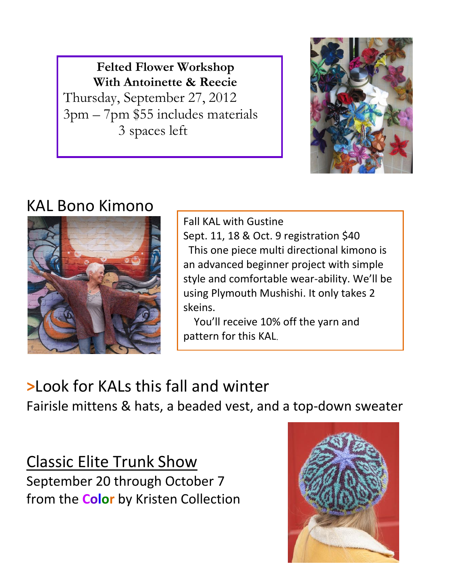**Felted Flower Workshop With Antoinette & Reecie** Thursday, September 27, 2012 3pm – 7pm \$55 includes materials 3 spaces left



# KAL Bono Kimono



Fall KAL with Gustine Sept. 11, 18 & Oct. 9 registration \$40 This one piece multi directional kimono is an advanced beginner project with simple style and comfortable wear-ability. We'll be using Plymouth Mushishi. It only takes 2 skeins.

 You'll receive 10% off the yarn and pattern for this KAL.

# **>**Look for KALs this fall and winter

Fairisle mittens & hats, a beaded vest, and a top-down sweater

Classic Elite Trunk Show September 20 through October 7 from the **Color** by Kristen Collection